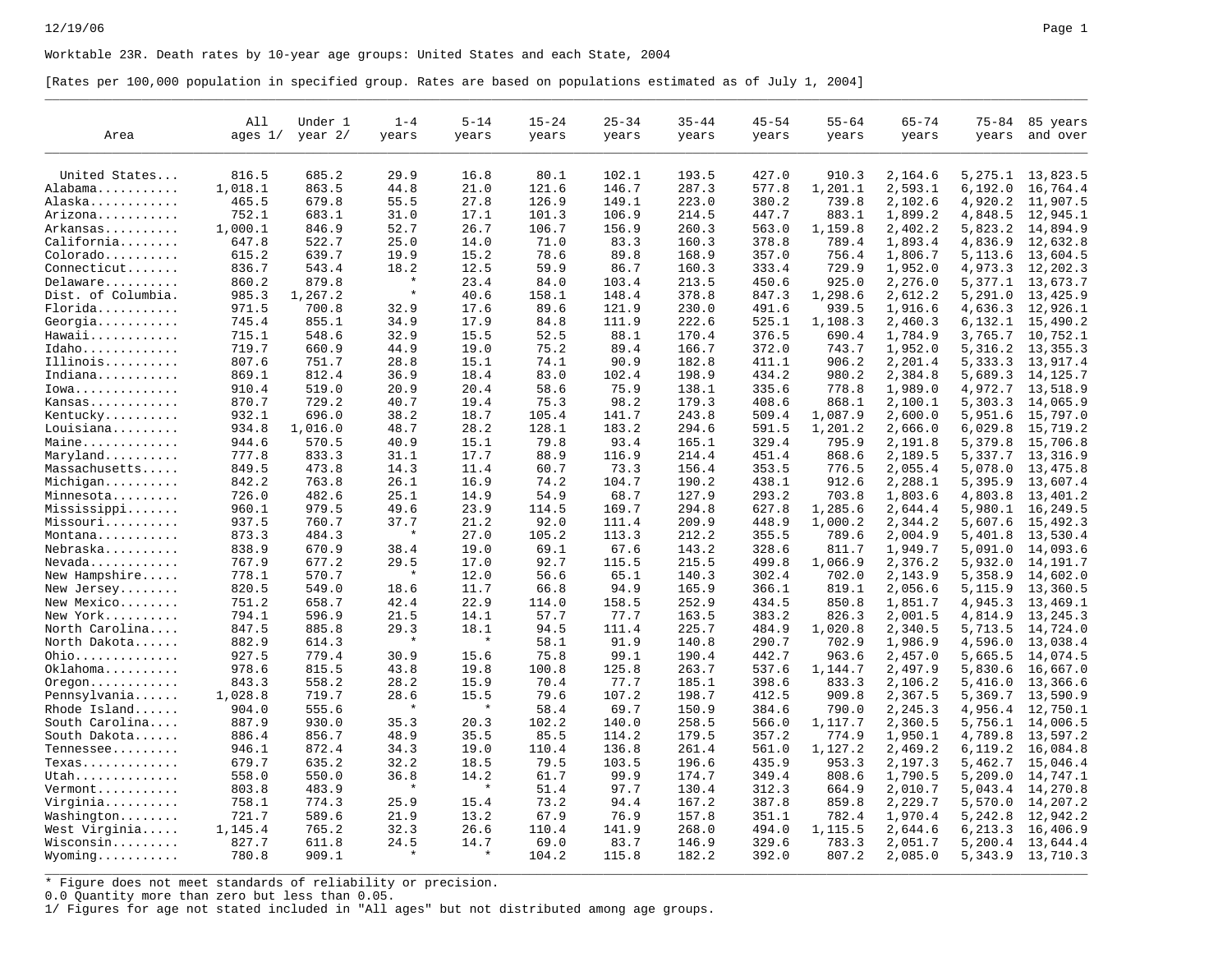Worktable 23R. Death rates by 10-year age groups: United States and each State, 2004

[Rates per 100,000 population in specified group. Rates are based on populations estimated as of July 1, 2004]

| Area               | All<br>ages $1/$ | Under 1<br>year $2/$ | $1 - 4$<br>years | $5 - 14$<br>years | $15 - 24$<br>years | $25 - 34$<br>years | $35 - 44$<br>years | $45 - 54$<br>years | $55 - 64$<br>years | $65 - 74$<br>years | $75 - 84$<br>years | 85 years<br>and over |
|--------------------|------------------|----------------------|------------------|-------------------|--------------------|--------------------|--------------------|--------------------|--------------------|--------------------|--------------------|----------------------|
|                    |                  |                      |                  |                   |                    |                    |                    |                    |                    |                    |                    |                      |
| United States      | 816.5            | 685.2                | 29.9             | 16.8              | 80.1               | 102.1              | 193.5              | 427.0              | 910.3              | 2,164.6            | 5,275.1            | 13,823.5             |
| Alabama            | 1,018.1          | 863.5                | 44.8             | 21.0              | 121.6              | 146.7              | 287.3              | 577.8              | 1,201.1            | 2,593.1            | 6,192.0            | 16,764.4             |
| Alaska             | 465.5            | 679.8                | 55.5             | 27.8              | 126.9              | 149.1              | 223.0              | 380.2              | 739.8              | 2,102.6            | 4,920.2            | 11,907.5             |
| Arizona            | 752.1            | 683.1                | 31.0             | 17.1              | 101.3              | 106.9              | 214.5              | 447.7              | 883.1              | 1,899.2            | 4,848.5            | 12,945.1             |
| Arkansas           | 1,000.1          | 846.9                | 52.7             | 26.7              | 106.7              | 156.9              | 260.3              | 563.0              | 1,159.8            | 2,402.2            | 5,823.2            | 14,894.9             |
| California         | 647.8            | 522.7                | 25.0             | 14.0              | 71.0               | 83.3               | 160.3              | 378.8              | 789.4              | 1,893.4            | 4,836.9            | 12,632.8             |
|                    | 615.2            | 639.7                | 19.9             | 15.2              | 78.6               | 89.8               | 168.9              | 357.0              | 756.4              |                    |                    |                      |
| Colorado           | 836.7            | 543.4                | 18.2             |                   | 59.9               |                    | 160.3              | 333.4              |                    | 1,806.7            | 5,113.6            | 13,604.5             |
| Connecticut        |                  |                      |                  | 12.5              |                    | 86.7               |                    |                    | 729.9              | 1,952.0            | 4,973.3            | 12,202.3             |
| Delaware           | 860.2            | 879.8                |                  | 23.4              | 84.0               | 103.4              | 213.5              | 450.6              | 925.0              | 2,276.0            | 5,377.1            | 13,673.7             |
| Dist. of Columbia. | 985.3            | 1,267.2              |                  | 40.6              | 158.1              | 148.4              | 378.8              | 847.3              | 1,298.6            | 2,612.2            | 5, 291.0           | 13,425.9             |
| Florida            | 971.5            | 700.8                | 32.9             | 17.6              | 89.6               | 121.9              | 230.0              | 491.6              | 939.5              | 1,916.6            | 4,636.3            | 12,926.1             |
| Georgia            | 745.4            | 855.1                | 34.9             | 17.9              | 84.8               | 111.9              | 222.6              | 525.1              | 1,108.3            | 2,460.3            | 6,132.1            | 15,490.2             |
| Hawaii             | 715.1            | 548.6                | 32.9             | 15.5              | 52.5               | 88.1               | 170.4              | 376.5              | 690.4              | 1,784.9            | 3,765.7            | 10,752.1             |
| Idaho              | 719.7            | 660.9                | 44.9             | 19.0              | 75.2               | 89.4               | 166.7              | 372.0              | 743.7              | 1,952.0            | 5,316.2            | 13,355.3             |
| Illinois           | 807.6            | 751.7                | 28.8             | 15.1              | 74.1               | 90.9               | 182.8              | 411.1              | 906.2              | 2,201.4            | 5,333.3            | 13,917.4             |
| Indiana            | 869.1            | 812.4                | 36.9             | 18.4              | 83.0               | 102.4              | 198.9              | 434.2              | 980.2              | 2,384.8            | 5,689.3            | 14,125.7             |
| $Iowa$             | 910.4            | 519.0                | 20.9             | 20.4              | 58.6               | 75.9               | 138.1              | 335.6              | 778.8              | 1,989.0            | 4,972.7            | 13,518.9             |
| Kansas             | 870.7            | 729.2                | 40.7             | 19.4              | 75.3               | 98.2               | 179.3              | 408.6              | 868.1              | 2,100.1            | 5,303.3            | 14,065.9             |
| Kentucky           | 932.1            | 696.0                | 38.2             | 18.7              | 105.4              | 141.7              | 243.8              | 509.4              | 1,087.9            | 2,600.0            | 5,951.6            | 15,797.0             |
| Louisiana          | 934.8            | 1,016.0              | 48.7             | 28.2              | 128.1              | 183.2              | 294.6              | 591.5              | 1,201.2            | 2,666.0            | 6,029.8            | 15,719.2             |
| Maine              | 944.6            | 570.5                | 40.9             | 15.1              | 79.8               | 93.4               | 165.1              | 329.4              | 795.9              | 2,191.8            | 5,379.8            | 15,706.8             |
| Maryland           | 777.8            | 833.3                | 31.1             | 17.7              | 88.9               | 116.9              | 214.4              | 451.4              | 868.6              | 2,189.5            | 5,337.7            | 13,316.9             |
| Massachusetts      | 849.5            | 473.8                | 14.3             | 11.4              | 60.7               | 73.3               | 156.4              | 353.5              | 776.5              | 2,055.4            | 5,078.0            | 13,475.8             |
| Michigan           | 842.2            | 763.8                | 26.1             | 16.9              | 74.2               | 104.7              | 190.2              | 438.1              | 912.6              | 2,288.1            | 5,395.9            | 13,607.4             |
| Minnesota          | 726.0            | 482.6                | 25.1             | 14.9              | 54.9               | 68.7               | 127.9              | 293.2              | 703.8              | 1,803.6            | 4,803.8            | 13,401.2             |
| Mississippi        | 960.1            | 979.5                | 49.6             | 23.9              | 114.5              | 169.7              | 294.8              | 627.8              | 1,285.6            | 2,644.4            | 5,980.1            | 16,249.5             |
| Missouri           | 937.5            | 760.7                | 37.7             | 21.2              | 92.0               | 111.4              | 209.9              | 448.9              | 1,000.2            | 2,344.2            | 5,607.6            | 15,492.3             |
| Montana            | 873.3            | 484.3                | $\star$          | 27.0              | 105.2              | 113.3              | 212.2              | 355.5              | 789.6              | 2,004.9            | 5,401.8            | 13,530.4             |
| Nebraska           | 838.9            | 670.9                | 38.4             | 19.0              | 69.1               | 67.6               | 143.2              | 328.6              | 811.7              | 1,949.7            | 5,091.0            | 14,093.6             |
| Nevada             | 767.9            | 677.2                | 29.5             | 17.0              | 92.7               | 115.5              | 215.5              | 499.8              | 1,066.9            | 2,376.2            | 5,932.0            | 14,191.7             |
| New Hampshire      | 778.1            | 570.7                | $\star$          | 12.0              | 56.6               | 65.1               | 140.3              | 302.4              | 702.0              | 2,143.9            | 5,358.9            | 14,602.0             |
| New Jersey         | 820.5            | 549.0                | 18.6             | 11.7              | 66.8               | 94.9               | 165.9              | 366.1              | 819.1              | 2,056.6            | 5,115.9            | 13,360.5             |
| New Mexico         | 751.2            | 658.7                | 42.4             | 22.9              | 114.0              | 158.5              | 252.9              | 434.5              | 850.8              | 1,851.7            | 4,945.3            | 13,469.1             |
| New York           | 794.1            | 596.9                | 21.5             | 14.1              | 57.7               | 77.7               | 163.5              | 383.2              | 826.3              | 2,001.5            | 4,814.9            | 13,245.3             |
| North Carolina     | 847.5            | 885.8                | 29.3             | 18.1              | 94.5               | 111.4              | 225.7              | 484.9              | 1,020.8            | 2,340.5            | 5,713.5            | 14,724.0             |
| North Dakota       | 882.9            | 614.3                | $\star$          | $\star$           | 58.1               | 91.9               | 140.8              | 290.7              | 702.9              | 1,986.9            | 4,596.0            | 13,038.4             |
| 0hio               | 927.5            | 779.4                | 30.9             | 15.6              | 75.8               | 99.1               | 190.4              | 442.7              | 963.6              | 2,457.0            | 5,665.5            | 14,074.5             |
| $Oklahoma$         | 978.6            | 815.5                | 43.8             | 19.8              | 100.8              | 125.8              | 263.7              | 537.6              | 1,144.7            | 2,497.9            | 5,830.6            | 16,667.0             |
| $O$ regon          | 843.3            | 558.2                | 28.2             | 15.9              | 70.4               | 77.7               | 185.1              | 398.6              | 833.3              | 2,106.2            | 5,416.0            | 13,366.6             |
| Pennsylvania       | 1,028.8          | 719.7                | 28.6             | 15.5              | 79.6               | 107.2              | 198.7              | 412.5              | 909.8              | 2,367.5            | 5,369.7            | 13,590.9             |
| Rhode Island       | 904.0            | 555.6                | $\star$          | $\star$           | 58.4               | 69.7               | 150.9              | 384.6              | 790.0              | 2,245.3            | 4,956.4            | 12,750.1             |
| South Carolina     | 887.9            | 930.0                | 35.3             | 20.3              | 102.2              | 140.0              | 258.5              | 566.0              | 1,117.7            | 2,360.5            | 5,756.1            | 14,006.5             |
| South Dakota       | 886.4            | 856.7                | 48.9             | 35.5              | 85.5               | 114.2              | 179.5              | 357.2              | 774.9              | 1,950.1            | 4,789.8            | 13,597.2             |
| Tennessee          | 946.1            | 872.4                | 34.3             | 19.0              | 110.4              | 136.8              | 261.4              | 561.0              | 1,127.2            | 2,469.2            | 6, 119.2           | 16,084.8             |
| Texas              | 679.7            | 635.2                | 32.2             | 18.5              | 79.5               | 103.5              | 196.6              | 435.9              | 953.3              | 2,197.3            | 5,462.7            | 15,046.4             |
| Utah               | 558.0            | 550.0                | 36.8             | 14.2              | 61.7               | 99.9               | 174.7              | 349.4              | 808.6              | 1,790.5            | 5, 209.0           | 14,747.1             |
| Vermont            | 803.8            | 483.9                |                  | $\star$           | 51.4               | 97.7               | 130.4              | 312.3              | 664.9              | 2,010.7            | 5,043.4            | 14,270.8             |
| Virginia           | 758.1            | 774.3                | 25.9             | 15.4              | 73.2               | 94.4               | 167.2              | 387.8              | 859.8              | 2,229.7            | 5,570.0            | 14,207.2             |
| Washington         | 721.7            | 589.6                | 21.9             | 13.2              | 67.9               | 76.9               | 157.8              | 351.1              | 782.4              | 1,970.4            | 5,242.8            | 12,942.2             |
| West Virginia      | 1,145.4          | 765.2                | 32.3             | 26.6              | 110.4              | 141.9              | 268.0              | 494.0              | 1,115.5            | 2,644.6            | 6, 213.3           | 16,406.9             |
| Wisconsin          | 827.7            | 611.8                | 24.5             | 14.7              | 69.0               | 83.7               | 146.9              | 329.6              | 783.3              | 2,051.7            | 5,200.4            | 13,644.4             |
| Wyoming            | 780.8            | 909.1                | $\star$          | $\star$           | 104.2              | 115.8              | 182.2              | 392.0              | 807.2              | 2,085.0            | 5,343.9            | 13,710.3             |

\_\_\_\_\_\_\_\_\_\_\_\_\_\_\_\_\_\_\_\_\_\_\_\_\_\_\_\_\_\_\_\_\_\_\_\_\_\_\_\_\_\_\_\_\_\_\_\_\_\_\_\_\_\_\_\_\_\_\_\_\_\_\_\_\_\_\_\_\_\_\_\_\_\_\_\_\_\_\_\_\_\_\_\_\_\_\_\_\_\_\_\_\_\_\_\_\_\_\_\_\_\_\_\_\_\_\_\_\_\_\_\_\_\_\_\_\_\_\_\_\_\_\_\_\_\_\_\_\_\_\_\_\_\_\_\_\_\_\_\_

\* Figure does not meet standards of reliability or precision.

0.0 Quantity more than zero but less than 0.05.

1/ Figures for age not stated included in "All ages" but not distributed among age groups.